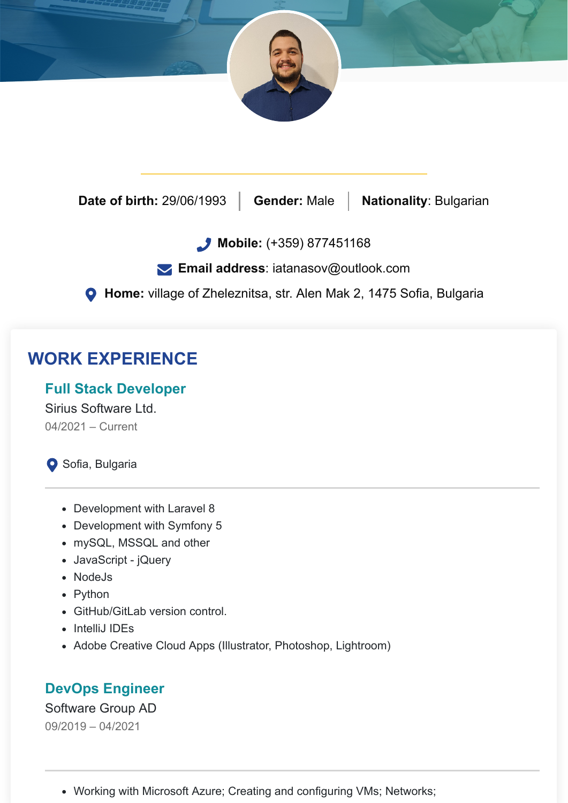

**Date of birth:** 29/06/1993 **Gender:** Male **Nationality**: Bulgarian

**Mobile:** (+359) 877451168

**Email address**: [iatanasov@outlook.com](mailto:iatanasov@outlook.com)

**Home:** village of Zheleznitsa, str. Alen Mak 2, 1475 Sofia, Bulgaria

# **WORK EXPERIENCE**

#### **Full Stack Developer**

Sirius Software Ltd. 04/2021 – Current

Sofia, Bulgaria

- Development with Laravel 8
- Development with Symfony 5
- mySQL, MSSQL and other
- JavaScript jQuery
- NodeJs
- Python
- GitHub/GitLab version control.
- IntelliJ IDEs
- Adobe Creative Cloud Apps (Illustrator, Photoshop, Lightroom)

#### **DevOps Engineer**

#### Software Group AD 09/2019 – 04/2021

Working with Microsoft Azure; Creating and configuring VMs; Networks;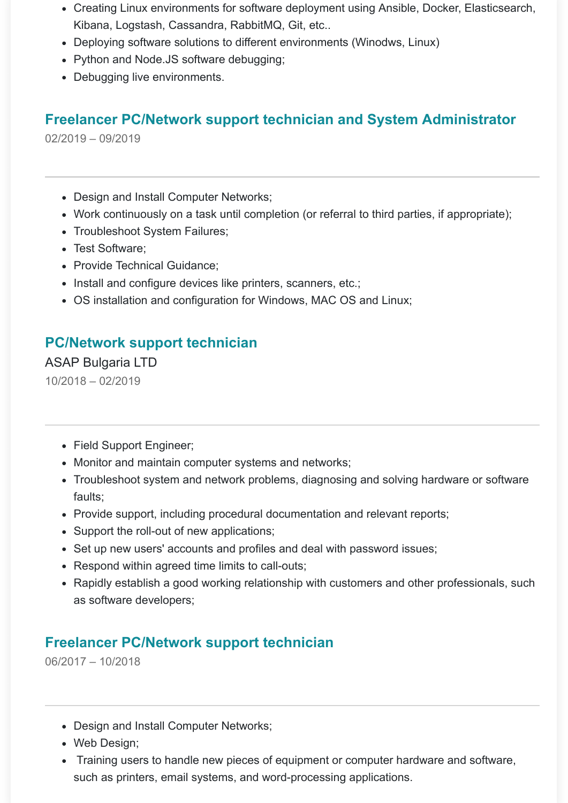- Creating Linux environments for software deployment using Ansible, Docker, Elasticsearch, Kibana, Logstash, Cassandra, RabbitMQ, Git, etc..
- Deploying software solutions to different environments (Winodws, Linux)
- Python and Node.JS software debugging;
- Debugging live environments.

## **Freelancer PC/Network support technician and System Administrator**

02/2019 – 09/2019

- Design and Install Computer Networks;
- Work continuously on a task until completion (or referral to third parties, if appropriate);
- Troubleshoot System Failures;
- Test Software;
- Provide Technical Guidance:
- Install and configure devices like printers, scanners, etc.;
- OS installation and configuration for Windows, MAC OS and Linux;

### **PC/Network support technician**

ASAP Bulgaria LTD 10/2018 – 02/2019

- Field Support Engineer;
- Monitor and maintain computer systems and networks;
- Troubleshoot system and network problems, diagnosing and solving hardware or software faults;
- Provide support, including procedural documentation and relevant reports;
- Support the roll-out of new applications;
- Set up new users' accounts and profiles and deal with password issues;
- Respond within agreed time limits to call-outs;
- Rapidly establish a good working relationship with customers and other professionals, such as software developers;

### **Freelancer PC/Network support technician**

06/2017 – 10/2018

- Design and Install Computer Networks;
- Web Design;
- Training users to handle new pieces of equipment or computer hardware and software, such as printers, email systems, and word-processing applications.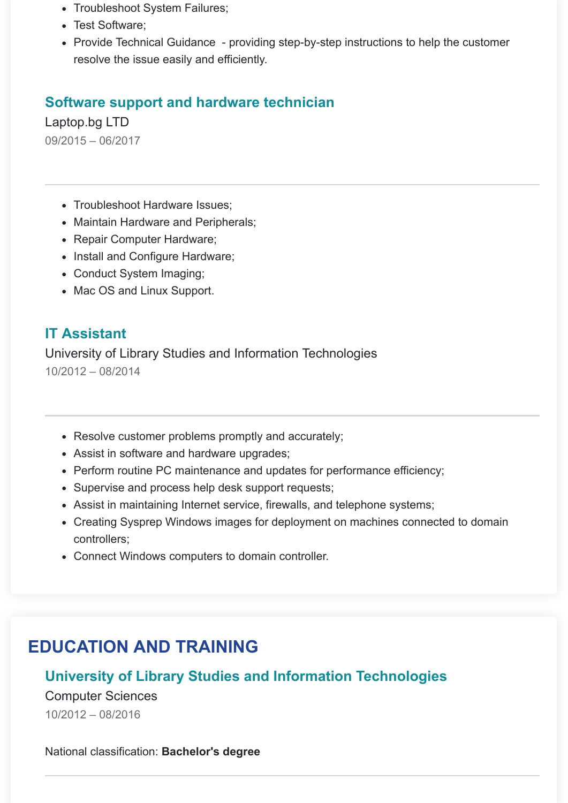- Troubleshoot System Failures;
- Test Software;
- Provide Technical Guidance providing step-by-step instructions to help the customer resolve the issue easily and efficiently.

#### **Software support and hardware technician**

Laptop.bg LTD 09/2015 – 06/2017

- Troubleshoot Hardware Issues:
- Maintain Hardware and Peripherals;
- Repair Computer Hardware;
- Install and Configure Hardware;
- Conduct System Imaging;
- Mac OS and Linux Support.

#### **IT Assistant**

University of Library Studies and Information Technologies 10/2012 – 08/2014

- Resolve customer problems promptly and accurately;
- Assist in software and hardware upgrades;
- Perform routine PC maintenance and updates for performance efficiency;
- Supervise and process help desk support requests;
- Assist in maintaining Internet service, firewalls, and telephone systems;
- Creating Sysprep Windows images for deployment on machines connected to domain controllers;
- Connect Windows computers to domain controller.

# **EDUCATION AND TRAINING**

### **University of Library Studies and Information Technologies**

Computer Sciences 10/2012 – 08/2016

National classification: **Bachelor's degree**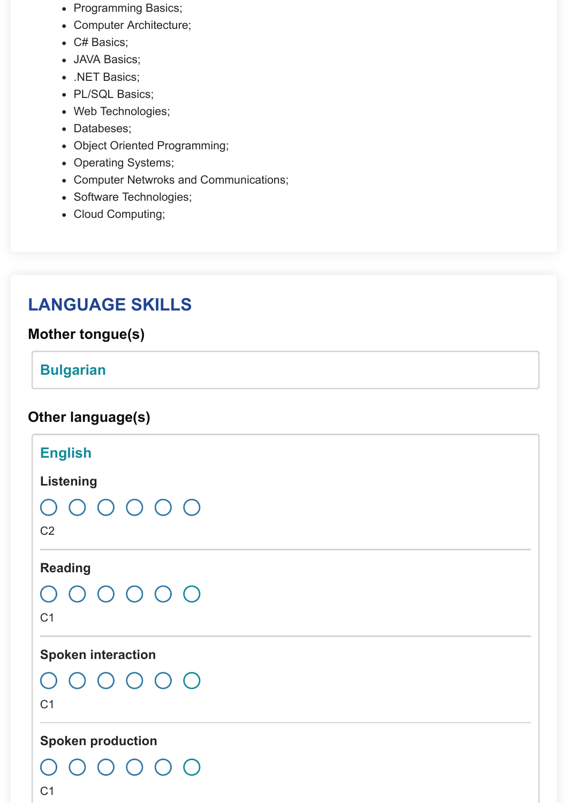- Programming Basics;
- Computer Architecture;
- C# Basics;
- JAVA Basics;
- .NET Basics;
- PL/SQL Basics;
- Web Technologies;
- Databeses;
- Object Oriented Programming;
- Operating Systems;
- Computer Netwroks and Communications;
- Software Technologies;
- Cloud Computing;

# **LANGUAGE SKILLS**

### **Mother tongue(s)**

#### **Bulgarian**

## **Other language(s)**

| <b>English</b><br><b>Listening</b><br>$\begin{array}{ccc} & O & O & O & O & O \end{array}$<br>C <sub>2</sub> |  |
|--------------------------------------------------------------------------------------------------------------|--|
| <b>Reading</b><br>$\begin{array}{ccc} \circ & \circ & \circ & \circ & \circ \end{array}$<br>C <sub>1</sub>   |  |
| <b>Spoken interaction</b><br>$\begin{array}{ccc} & O & O & O & O & O \end{array}$<br>C <sub>1</sub>          |  |
| <b>Spoken production</b><br>() () () ()<br>$\left(\begin{array}{c} \end{array}\right)$<br>C <sub>1</sub>     |  |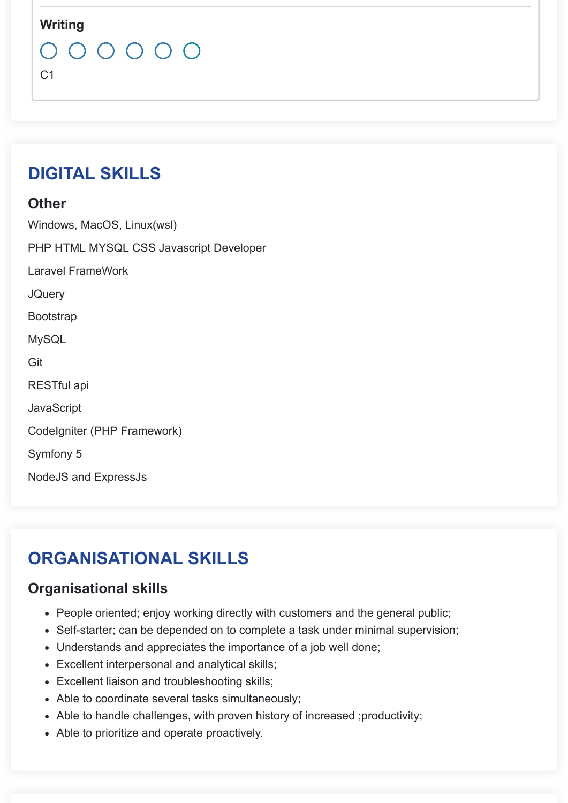#### **Writing**



 $C<sub>1</sub>$ 

# **DIGITAL SKILLS**

#### **Other**

Windows, MacOS, Linux(wsl) PHP HTML MYSQL CSS Javascript Developer Laravel FrameWork **JQuery** Bootstrap **MySQL** Git RESTful api **JavaScript** CodeIgniter (PHP Framework) Symfony 5 NodeJS and ExpressJs

# **ORGANISATIONAL SKILLS**

### **Organisational skills**

- People oriented; enjoy working directly with customers and the general public;
- Self-starter; can be depended on to complete a task under minimal supervision;
- Understands and appreciates the importance of a job well done;
- Excellent interpersonal and analytical skills;
- Excellent liaison and troubleshooting skills;
- Able to coordinate several tasks simultaneously;
- Able to handle challenges, with proven history of increased ;productivity;
- Able to prioritize and operate proactively.